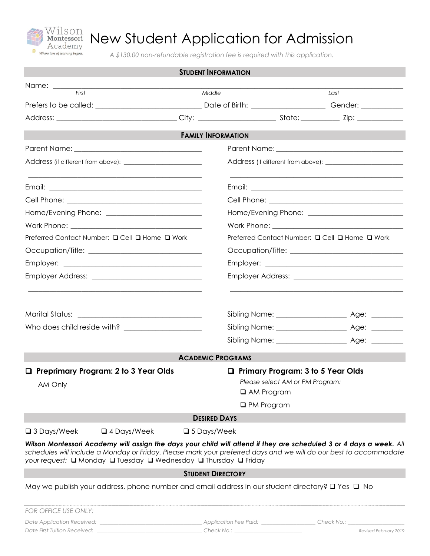

## New Student Application for Admission

*A \$130.00 non-refundable registration fee is required with this application.*

|                                                                                                                                                                                                                                                                                                              | <b>STUDENT INFORMATION</b> |                                                                                                  |                       |  |
|--------------------------------------------------------------------------------------------------------------------------------------------------------------------------------------------------------------------------------------------------------------------------------------------------------------|----------------------------|--------------------------------------------------------------------------------------------------|-----------------------|--|
|                                                                                                                                                                                                                                                                                                              |                            |                                                                                                  |                       |  |
| First                                                                                                                                                                                                                                                                                                        | Middle                     |                                                                                                  | Last                  |  |
|                                                                                                                                                                                                                                                                                                              |                            |                                                                                                  |                       |  |
|                                                                                                                                                                                                                                                                                                              |                            |                                                                                                  |                       |  |
|                                                                                                                                                                                                                                                                                                              | <b>FAMILY INFORMATION</b>  |                                                                                                  |                       |  |
|                                                                                                                                                                                                                                                                                                              |                            |                                                                                                  |                       |  |
|                                                                                                                                                                                                                                                                                                              |                            |                                                                                                  |                       |  |
|                                                                                                                                                                                                                                                                                                              |                            |                                                                                                  |                       |  |
|                                                                                                                                                                                                                                                                                                              |                            |                                                                                                  |                       |  |
|                                                                                                                                                                                                                                                                                                              |                            |                                                                                                  |                       |  |
|                                                                                                                                                                                                                                                                                                              |                            |                                                                                                  |                       |  |
| Preferred Contact Number: □ Cell □ Home □ Work                                                                                                                                                                                                                                                               |                            | Preferred Contact Number: □ Cell □ Home □ Work                                                   |                       |  |
|                                                                                                                                                                                                                                                                                                              |                            |                                                                                                  |                       |  |
|                                                                                                                                                                                                                                                                                                              |                            |                                                                                                  |                       |  |
|                                                                                                                                                                                                                                                                                                              |                            |                                                                                                  |                       |  |
|                                                                                                                                                                                                                                                                                                              |                            |                                                                                                  |                       |  |
|                                                                                                                                                                                                                                                                                                              |                            |                                                                                                  |                       |  |
|                                                                                                                                                                                                                                                                                                              |                            |                                                                                                  |                       |  |
|                                                                                                                                                                                                                                                                                                              |                            |                                                                                                  |                       |  |
|                                                                                                                                                                                                                                                                                                              | <b>ACADEMIC PROGRAMS</b>   |                                                                                                  |                       |  |
| <b>Preprimary Program: 2 to 3 Year Olds</b><br>0<br>AM Only <b>AM</b> Only                                                                                                                                                                                                                                   |                            | $\Box$ Primary Program: 3 to 5 Year Olds<br>Please select AM or PM Program:<br>$\Box$ AM Program |                       |  |
|                                                                                                                                                                                                                                                                                                              |                            | $\Box$ PM Program                                                                                |                       |  |
|                                                                                                                                                                                                                                                                                                              | <b>DESIRED DAYS</b>        |                                                                                                  |                       |  |
| $\square$ 3 Days/Week<br>$\Box$ 4 Days/Week                                                                                                                                                                                                                                                                  | $\square$ 5 Days/Week      |                                                                                                  |                       |  |
| Wilson Montessori Academy will assign the days your child will attend if they are scheduled 3 or 4 days a week. All<br>schedules will include a Monday or Friday. Please mark your preferred days and we will do our best to accommodate<br>your request: □ Monday □ Tuesday □ Wednesday □ Thursday □ Friday |                            |                                                                                                  |                       |  |
|                                                                                                                                                                                                                                                                                                              | <b>STUDENT DIRECTORY</b>   |                                                                                                  |                       |  |
| May we publish your address, phone number and email address in our student directory? $\square$ Yes $\square$ No                                                                                                                                                                                             |                            |                                                                                                  |                       |  |
| FOR OFFICE USE ONLY:                                                                                                                                                                                                                                                                                         |                            |                                                                                                  |                       |  |
|                                                                                                                                                                                                                                                                                                              |                            |                                                                                                  |                       |  |
|                                                                                                                                                                                                                                                                                                              |                            |                                                                                                  | Revised February 2019 |  |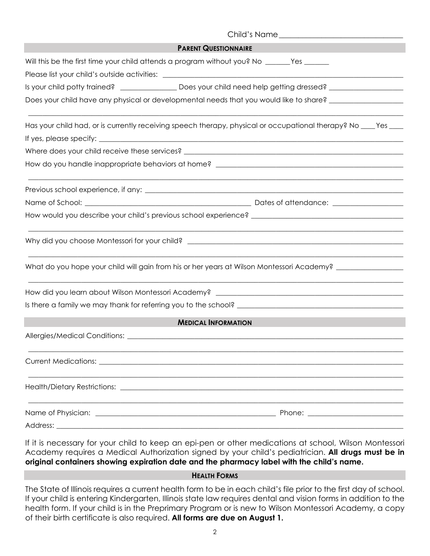| <b>PARENT QUESTIONNAIRE</b>                                                                                                                          |  |
|------------------------------------------------------------------------------------------------------------------------------------------------------|--|
| Will this be the first time your child attends a program without you? No ______Yes ______                                                            |  |
| Please list your child's outside activities: ___________________________________                                                                     |  |
| Is your child potty trained? _________________ Does your child need help getting dressed? ____________________                                       |  |
| Does your child have any physical or developmental needs that you would like to share? ______________________                                        |  |
| Has your child had, or is currently receiving speech therapy, physical or occupational therapy? No ____Yes ___                                       |  |
|                                                                                                                                                      |  |
|                                                                                                                                                      |  |
|                                                                                                                                                      |  |
|                                                                                                                                                      |  |
|                                                                                                                                                      |  |
|                                                                                                                                                      |  |
|                                                                                                                                                      |  |
| What do you hope your child will gain from his or her years at Wilson Montessori Academy? ________________                                           |  |
| How did you learn about Wilson Montessori Academy? [1942] [2012] [2013] [2013] [2014] [2014] [2014] [2014] [20                                       |  |
|                                                                                                                                                      |  |
| <b>MEDICAL INFORMATION</b>                                                                                                                           |  |
|                                                                                                                                                      |  |
| <b>Current Medications:</b><br><u> 1989 - John Stoff, deutscher Stoff, der Stoff, der Stoff, der Stoff, der Stoff, der Stoff, der Stoff, der Sto</u> |  |
|                                                                                                                                                      |  |
|                                                                                                                                                      |  |
|                                                                                                                                                      |  |

If it is necessary for your child to keep an epi-pen or other medications at school, Wilson Montessori Academy requires a Medical Authorization signed by your child's pediatrician. **All drugs must be in original containers showing expiration date and the pharmacy label with the child's name.**

## **HEALTH FORMS**

The State of Illinois requires a current health form to be in each child's file prior to the first day of school. If your child is entering Kindergarten, Illinois state law requires dental and vision forms in addition to the health form. If your child is in the Preprimary Program or is new to Wilson Montessori Academy, a copy of their birth certificate is also required. **All forms are due on August 1.**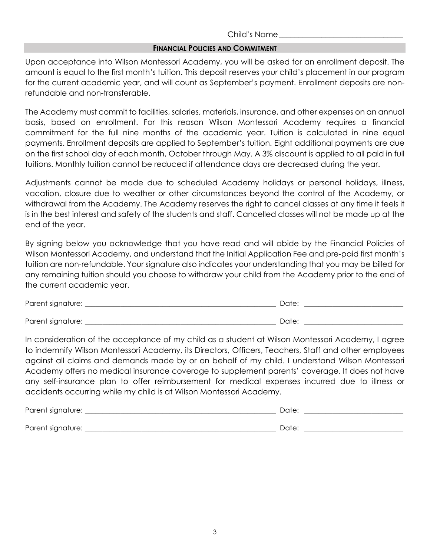## Child's Name\_\_\_\_\_\_\_\_\_\_\_\_\_\_\_\_\_\_\_\_\_\_\_\_\_\_\_\_\_\_\_\_

## **FINANCIAL POLICIES AND COMMITMENT**

Upon acceptance into Wilson Montessori Academy, you will be asked for an enrollment deposit. The amount is equal to the first month's tuition. This deposit reserves your child's placement in our program for the current academic year, and will count as September's payment. Enrollment deposits are nonrefundable and non-transferable.

The Academy must commit to facilities, salaries, materials, insurance, and other expenses on an annual basis, based on enrollment. For this reason Wilson Montessori Academy requires a financial commitment for the full nine months of the academic year. Tuition is calculated in nine equal payments. Enrollment deposits are applied to September's tuition. Eight additional payments are due on the first school day of each month, October through May. A 3% discount is applied to all paid in full tuitions. Monthly tuition cannot be reduced if attendance days are decreased during the year.

Adjustments cannot be made due to scheduled Academy holidays or personal holidays, illness, vacation, closure due to weather or other circumstances beyond the control of the Academy, or withdrawal from the Academy. The Academy reserves the right to cancel classes at any time it feels it is in the best interest and safety of the students and staff. Cancelled classes will not be made up at the end of the year.

By signing below you acknowledge that you have read and will abide by the Financial Policies of Wilson Montessori Academy, and understand that the Initial Application Fee and pre-paid first month's tuition are non-refundable. Your signature also indicates your understanding that you may be billed for any remaining tuition should you choose to withdraw your child from the Academy prior to the end of the current academic year.

| Parent signature: | Date: |
|-------------------|-------|
|                   |       |
| Parent signature: | Date: |

In consideration of the acceptance of my child as a student at Wilson Montessori Academy, I agree to indemnify Wilson Montessori Academy, its Directors, Officers, Teachers, Staff and other employees against all claims and demands made by or on behalf of my child. I understand Wilson Montessori Academy offers no medical insurance coverage to supplement parents' coverage. It does not have any self-insurance plan to offer reimbursement for medical expenses incurred due to illness or accidents occurring while my child is at Wilson Montessori Academy.

| Parent signature: | Date: |
|-------------------|-------|
|                   |       |
| Parent signature: | Date: |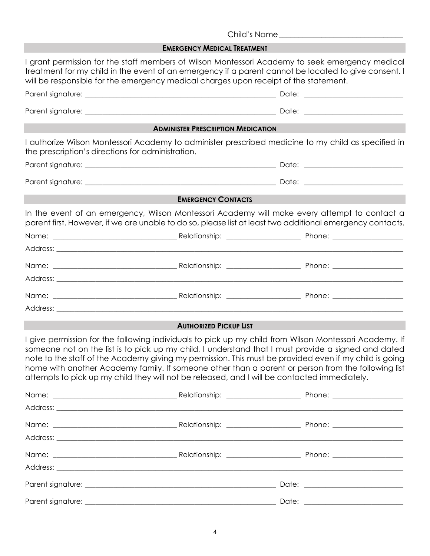Child's Name\_\_\_\_\_\_\_\_\_\_\_\_\_\_\_\_\_\_\_\_\_\_\_\_\_\_\_\_\_\_\_\_ **EMERGENCY MEDICAL TREATMENT** I grant permission for the staff members of Wilson Montessori Academy to seek emergency medical treatment for my child in the event of an emergency if a parent cannot be located to give consent. I will be responsible for the emergency medical charges upon receipt of the statement. Parent signature: \_\_\_\_\_\_\_\_\_\_\_\_\_\_\_\_\_\_\_\_\_\_\_\_\_\_\_\_\_\_\_\_\_\_\_\_\_\_\_\_\_\_\_\_\_\_\_\_\_\_\_\_\_\_ Date: \_\_\_\_\_\_\_\_\_\_\_\_\_\_\_\_\_\_\_\_\_\_\_\_\_\_\_\_ Parent signature: \_\_\_\_\_\_\_\_\_\_\_\_\_\_\_\_\_\_\_\_\_\_\_\_\_\_\_\_\_\_\_\_\_\_\_\_\_\_\_\_\_\_\_\_\_\_\_\_\_\_\_\_\_\_ Date: \_\_\_\_\_\_\_\_\_\_\_\_\_\_\_\_\_\_\_\_\_\_\_\_\_\_\_\_ **ADMINISTER PRESCRIPTION MEDICATION** I authorize Wilson Montessori Academy to administer prescribed medicine to my child as specified in the prescription's directions for administration. Parent signature: \_\_\_\_\_\_\_\_\_\_\_\_\_\_\_\_\_\_\_\_\_\_\_\_\_\_\_\_\_\_\_\_\_\_\_\_\_\_\_\_\_\_\_\_\_\_\_\_\_\_\_\_\_\_ Date: \_\_\_\_\_\_\_\_\_\_\_\_\_\_\_\_\_\_\_\_\_\_\_\_\_\_\_\_ Parent signature: \_\_\_\_\_\_\_\_\_\_\_\_\_\_\_\_\_\_\_\_\_\_\_\_\_\_\_\_\_\_\_\_\_\_\_\_\_\_\_\_\_\_\_\_\_\_\_\_\_\_\_\_\_\_ Date: \_\_\_\_\_\_\_\_\_\_\_\_\_\_\_\_\_\_\_\_\_\_\_\_\_\_\_\_ **EMERGENCY CONTACTS** In the event of an emergency, Wilson Montessori Academy will make every attempt to contact a parent first. However, if we are unable to do so, please list at least two additional emergency contacts. Name: The contract of the contract of the Relationship: the contract of the Phone:  $\blacksquare$  Phone:  $\blacksquare$ Address:  $\blacksquare$ Name: \_\_\_\_\_\_\_\_\_\_\_\_\_\_\_\_\_\_\_\_\_\_\_\_\_\_\_\_\_\_\_\_\_\_\_ Relationship: \_\_\_\_\_\_\_\_\_\_\_\_\_\_\_\_\_\_\_\_\_ Phone: \_\_\_\_\_\_\_\_\_\_\_\_\_\_\_\_\_\_\_\_ Address: **and a set of the set of the set of the set of the set of the set of the set of the set of the set of the set of the set of the set of the set of the set of the set of the set of the set of the set of the set of t** Name: The contract of the contract of the Relationship: the contract of the Phone:  $\blacksquare$  Phone:  $\blacksquare$ Address: \_\_\_\_\_\_\_\_\_\_\_\_\_\_\_\_\_\_\_\_\_\_\_\_\_\_\_\_\_\_\_\_\_\_\_\_\_\_\_\_\_\_\_\_\_\_\_\_\_\_\_\_\_\_\_\_\_\_\_\_\_\_\_\_\_\_\_\_\_\_\_\_\_\_\_\_\_\_\_\_\_\_\_\_\_\_\_\_\_\_\_\_\_\_\_\_\_\_ **AUTHORIZED PICKUP LIST** I give permission for the following individuals to pick up my child from Wilson Montessori Academy. If someone not on the list is to pick up my child, I understand that I must provide a signed and dated note to the staff of the Academy giving my permission. This must be provided even if my child is going home with another Academy family. If someone other than a parent or person from the following list attempts to pick up my child they will not be released, and I will be contacted immediately. Name: \_\_\_\_\_\_\_\_\_\_\_\_\_\_\_\_\_\_\_\_\_\_\_\_\_\_\_\_\_\_\_\_\_\_\_ Relationship: \_\_\_\_\_\_\_\_\_\_\_\_\_\_\_\_\_\_\_\_\_ Phone: \_\_\_\_\_\_\_\_\_\_\_\_\_\_\_\_\_\_\_\_ Address: \_\_\_\_\_\_\_\_\_\_\_\_\_\_\_\_\_\_\_\_\_\_\_\_\_\_\_\_\_\_\_\_\_\_\_\_\_\_\_\_\_\_\_\_\_\_\_\_\_\_\_\_\_\_\_\_\_\_\_\_\_\_\_\_\_\_\_\_\_\_\_\_\_\_\_\_\_\_\_\_\_\_\_\_\_\_\_\_\_\_\_\_\_\_\_\_\_\_ Name: \_\_\_\_\_\_\_\_\_\_\_\_\_\_\_\_\_\_\_\_\_\_\_\_\_\_\_\_\_\_\_\_\_\_\_ Relationship: \_\_\_\_\_\_\_\_\_\_\_\_\_\_\_\_\_\_\_\_\_ Phone: \_\_\_\_\_\_\_\_\_\_\_\_\_\_\_\_\_\_\_\_ Address: \_\_\_\_\_\_\_\_\_\_\_\_\_\_\_\_\_\_\_\_\_\_\_\_\_\_\_\_\_\_\_\_\_\_\_\_\_\_\_\_\_\_\_\_\_\_\_\_\_\_\_\_\_\_\_\_\_\_\_\_\_\_\_\_\_\_\_\_\_\_\_\_\_\_\_\_\_\_\_\_\_\_\_\_\_\_\_\_\_\_\_\_\_\_\_\_\_\_ Name: \_\_\_\_\_\_\_\_\_\_\_\_\_\_\_\_\_\_\_\_\_\_\_\_\_\_\_\_\_\_\_\_\_\_\_ Relationship: \_\_\_\_\_\_\_\_\_\_\_\_\_\_\_\_\_\_\_\_\_ Phone: \_\_\_\_\_\_\_\_\_\_\_\_\_\_\_\_\_\_\_\_ Address: \_\_\_\_\_\_\_\_\_\_\_\_\_\_\_\_\_\_\_\_\_\_\_\_\_\_\_\_\_\_\_\_\_\_\_\_\_\_\_\_\_\_\_\_\_\_\_\_\_\_\_\_\_\_\_\_\_\_\_\_\_\_\_\_\_\_\_\_\_\_\_\_\_\_\_\_\_\_\_\_\_\_\_\_\_\_\_\_\_\_\_\_\_\_\_\_\_\_ Parent signature: \_\_\_\_\_\_\_\_\_\_\_\_\_\_\_\_\_\_\_\_\_\_\_\_\_\_\_\_\_\_\_\_\_\_\_\_\_\_\_\_\_\_\_\_\_\_\_\_\_\_\_\_\_\_ Date: \_\_\_\_\_\_\_\_\_\_\_\_\_\_\_\_\_\_\_\_\_\_\_\_\_\_\_\_ Parent signature: \_\_\_\_\_\_\_\_\_\_\_\_\_\_\_\_\_\_\_\_\_\_\_\_\_\_\_\_\_\_\_\_\_\_\_\_\_\_\_\_\_\_\_\_\_\_\_\_\_\_\_\_\_\_ Date: \_\_\_\_\_\_\_\_\_\_\_\_\_\_\_\_\_\_\_\_\_\_\_\_\_\_\_\_